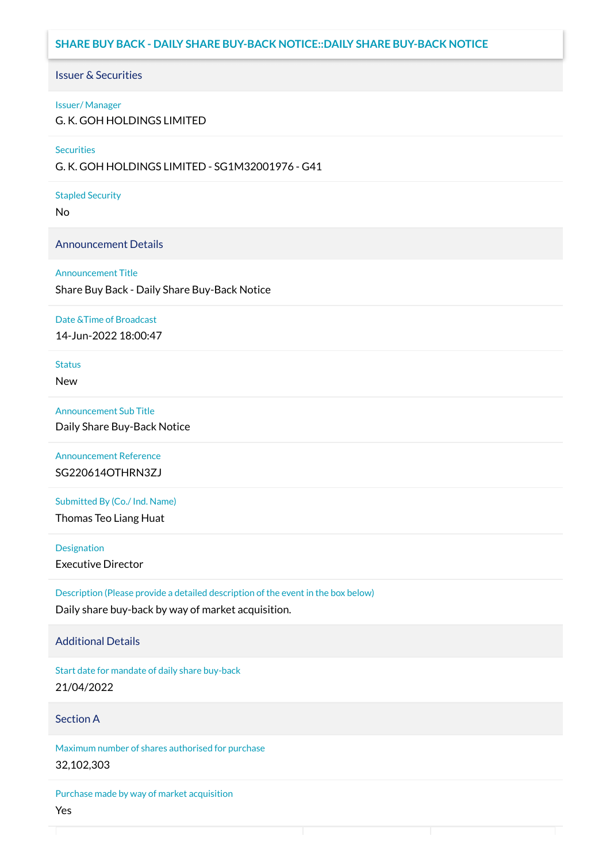## **SHARE BUY BACK - DAILY SHARE BUY-BACK NOTICE::DAILY SHARE BUY-BACK NOTICE**

### Issuer & Securities

### Issuer/ Manager

G. K. GOH HOLDINGS LIMITED

### **Securities**

G. K. GOH HOLDINGS LIMITED - SG1M32001976 - G41

### Stapled Security

No

### Announcement Details

### Announcement Title

Share Buy Back - Daily Share Buy-Back Notice

### Date &Time of Broadcast

14-Jun-2022 18:00:47

# **Status**

New

## Announcement Sub Title

Daily Share Buy-Back Notice

Announcement Reference SG220614OTHRN3ZJ

Submitted By (Co./ Ind. Name)

Thomas Teo Liang Huat

**Designation** Executive Director

Description (Please provide a detailed description of the event in the box below) Daily share buy-back by way of market acquisition.

### Additional Details

Start date for mandate of daily share buy-back 21/04/2022

## Section A

Maximum number of shares authorised for purchase 32,102,303

Purchase made by way of market acquisition Yes